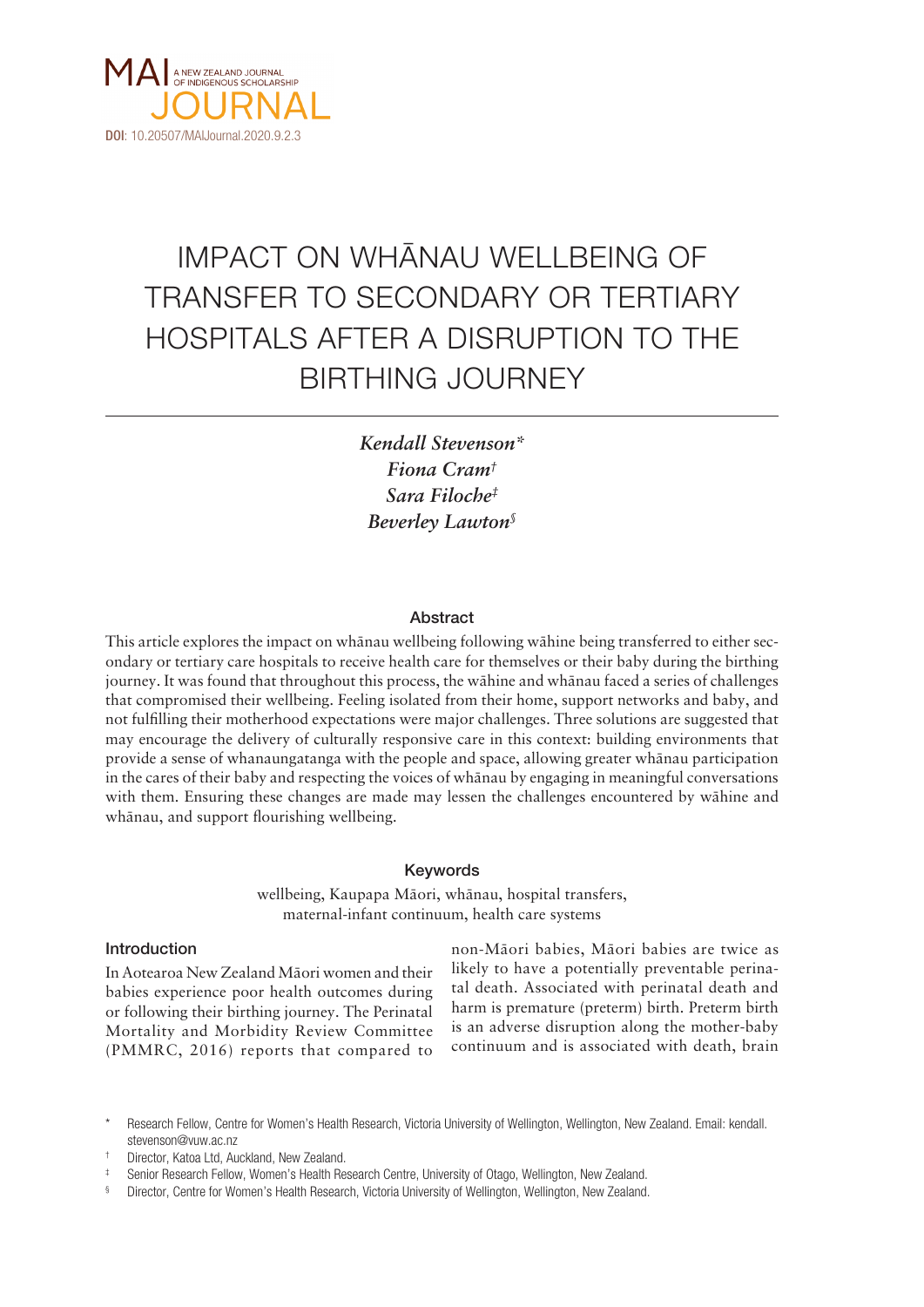

# IMPACT ON WHÄNAU WELLBEING OF TRANSFER TO SECONDARY OR TERTIARY HOSPITALS AFTER A DISRUPTION TO THE BIRTHING JOURNEY

*Kendall Stevenson\* Fiona Cram† Sara Filoche‡ Beverley Lawton§*

### Abstract

This article explores the impact on whänau wellbeing following wähine being transferred to either secondary or tertiary care hospitals to receive health care for themselves or their baby during the birthing journey. It was found that throughout this process, the wähine and whänau faced a series of challenges that compromised their wellbeing. Feeling isolated from their home, support networks and baby, and not fulfilling their motherhood expectations were major challenges. Three solutions are suggested that may encourage the delivery of culturally responsive care in this context: building environments that provide a sense of whanaungatanga with the people and space, allowing greater whänau participation in the cares of their baby and respecting the voices of whänau by engaging in meaningful conversations with them. Ensuring these changes are made may lessen the challenges encountered by wähine and whänau, and support flourishing wellbeing.

#### Keywords

wellbeing, Kaupapa Mäori, whänau, hospital transfers, maternal-infant continuum, health care systems

# Introduction

In Aotearoa New Zealand Mäori women and their babies experience poor health outcomes during or following their birthing journey. The Perinatal Mortality and Morbidity Review Committee (PMMRC, 2016) reports that compared to non-Mäori babies, Mäori babies are twice as likely to have a potentially preventable perinatal death. Associated with perinatal death and harm is premature (preterm) birth. Preterm birth is an adverse disruption along the mother-baby continuum and is associated with death, brain

- † Director, Katoa Ltd, Auckland, New Zealand.
- ‡ Senior Research Fellow, Women's Health Research Centre, University of Otago, Wellington, New Zealand.
- § Director, Centre for Women's Health Research, Victoria University of Wellington, Wellington, New Zealand.

Research Fellow, Centre for Women's Health Research, Victoria University of Wellington, Wellington, New Zealand. Email: kendall. stevenson@vuw.ac.nz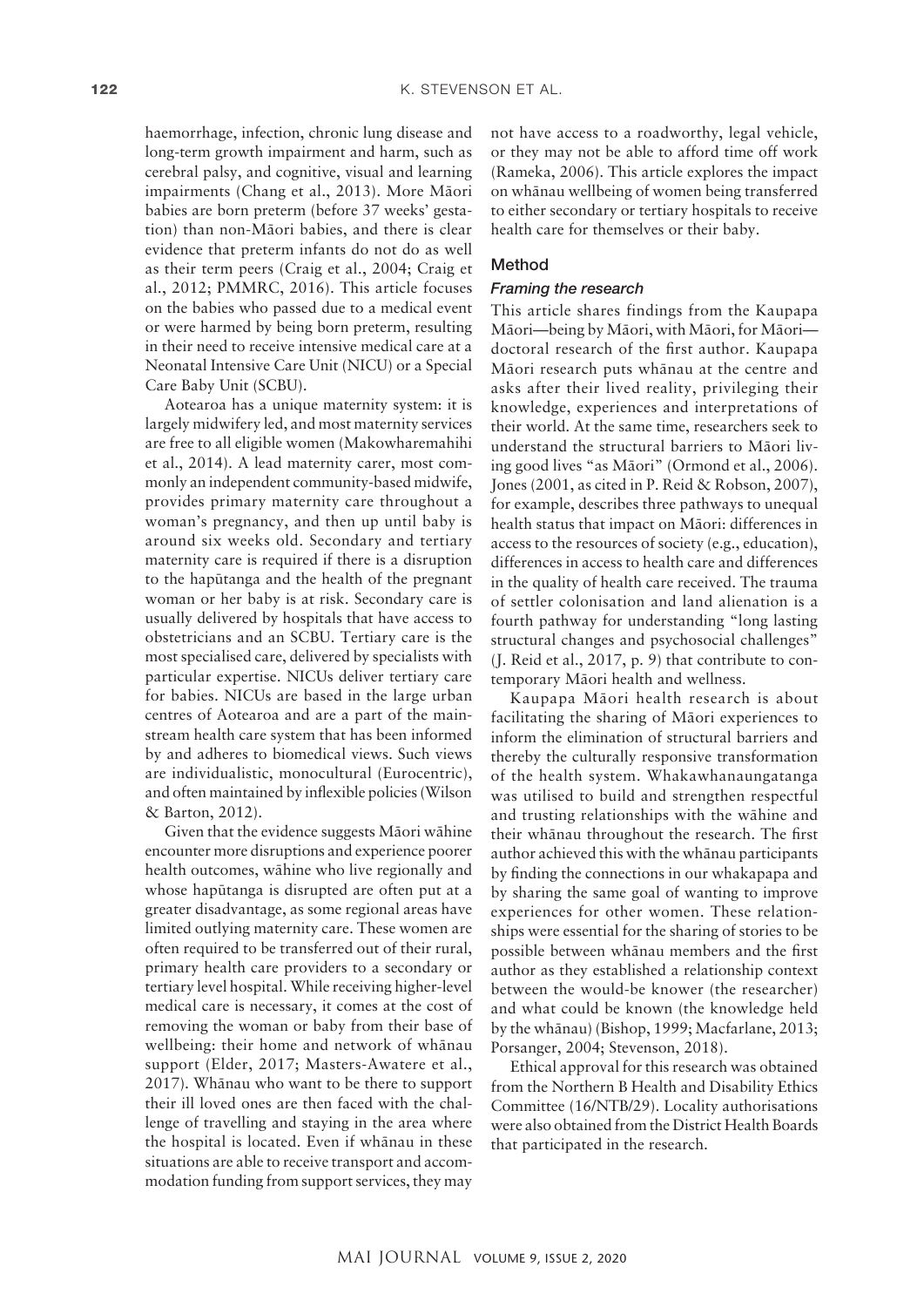haemorrhage, infection, chronic lung disease and long-term growth impairment and harm, such as cerebral palsy, and cognitive, visual and learning impairments (Chang et al., 2013). More Mäori babies are born preterm (before 37 weeks' gestation) than non-Mäori babies, and there is clear evidence that preterm infants do not do as well as their term peers (Craig et al., 2004; Craig et al., 2012; PMMRC, 2016). This article focuses on the babies who passed due to a medical event or were harmed by being born preterm, resulting in their need to receive intensive medical care at a Neonatal Intensive Care Unit (NICU) or a Special Care Baby Unit (SCBU).

Aotearoa has a unique maternity system: it is largely midwifery led, and most maternity services are free to all eligible women (Makowharemahihi et al., 2014). A lead maternity carer, most commonly an independent community-based midwife, provides primary maternity care throughout a woman's pregnancy, and then up until baby is around six weeks old. Secondary and tertiary maternity care is required if there is a disruption to the hapütanga and the health of the pregnant woman or her baby is at risk. Secondary care is usually delivered by hospitals that have access to obstetricians and an SCBU. Tertiary care is the most specialised care, delivered by specialists with particular expertise. NICUs deliver tertiary care for babies. NICUs are based in the large urban centres of Aotearoa and are a part of the mainstream health care system that has been informed by and adheres to biomedical views. Such views are individualistic, monocultural (Eurocentric), and often maintained by inflexible policies (Wilson & Barton, 2012).

Given that the evidence suggests Mäori wähine encounter more disruptions and experience poorer health outcomes, wähine who live regionally and whose hapütanga is disrupted are often put at a greater disadvantage, as some regional areas have limited outlying maternity care. These women are often required to be transferred out of their rural, primary health care providers to a secondary or tertiary level hospital. While receiving higher-level medical care is necessary, it comes at the cost of removing the woman or baby from their base of wellbeing: their home and network of whänau support (Elder, 2017; Masters-Awatere et al., 2017). Whänau who want to be there to support their ill loved ones are then faced with the challenge of travelling and staying in the area where the hospital is located. Even if whänau in these situations are able to receive transport and accommodation funding from support services, they may

not have access to a roadworthy, legal vehicle, or they may not be able to afford time off work (Rameka, 2006). This article explores the impact on whänau wellbeing of women being transferred to either secondary or tertiary hospitals to receive health care for themselves or their baby.

### Method

### *Framing the research*

This article shares findings from the Kaupapa Mäori—being by Mäori, with Mäori, for Mäori doctoral research of the first author. Kaupapa Mäori research puts whänau at the centre and asks after their lived reality, privileging their knowledge, experiences and interpretations of their world. At the same time, researchers seek to understand the structural barriers to Mäori living good lives "as Mäori" (Ormond et al., 2006). Jones (2001, as cited in P. Reid & Robson, 2007), for example, describes three pathways to unequal health status that impact on Mäori: differences in access to the resources of society (e.g., education), differences in access to health care and differences in the quality of health care received. The trauma of settler colonisation and land alienation is a fourth pathway for understanding "long lasting structural changes and psychosocial challenges" (J. Reid et al., 2017, p. 9) that contribute to contemporary Mäori health and wellness.

Kaupapa Mäori health research is about facilitating the sharing of Mäori experiences to inform the elimination of structural barriers and thereby the culturally responsive transformation of the health system. Whakawhanaungatanga was utilised to build and strengthen respectful and trusting relationships with the wähine and their whänau throughout the research. The first author achieved this with the whänau participants by finding the connections in our whakapapa and by sharing the same goal of wanting to improve experiences for other women. These relationships were essential for the sharing of stories to be possible between whänau members and the first author as they established a relationship context between the would-be knower (the researcher) and what could be known (the knowledge held by the whänau) (Bishop, 1999; Macfarlane, 2013; Porsanger, 2004; Stevenson, 2018).

Ethical approval for this research was obtained from the Northern B Health and Disability Ethics Committee (16/NTB/29). Locality authorisations were also obtained from the District Health Boards that participated in the research.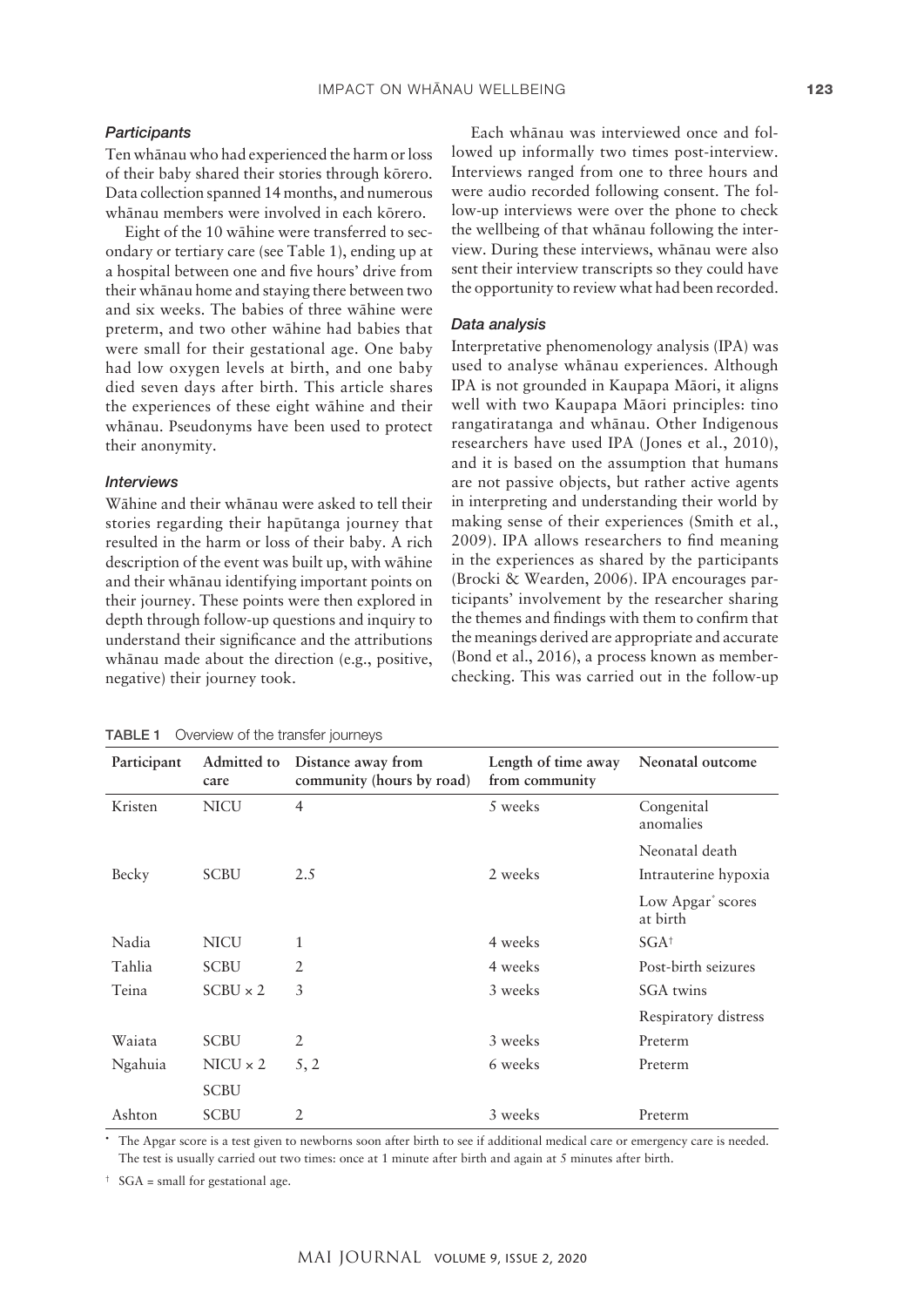### *Participants*

Ten whänau who had experienced the harm or loss of their baby shared their stories through körero. Data collection spanned 14 months, and numerous whänau members were involved in each körero.

Eight of the 10 wähine were transferred to secondary or tertiary care (see Table 1), ending up at a hospital between one and five hours' drive from their whänau home and staying there between two and six weeks. The babies of three wähine were preterm, and two other wähine had babies that were small for their gestational age. One baby had low oxygen levels at birth, and one baby died seven days after birth. This article shares the experiences of these eight wähine and their whänau. Pseudonyms have been used to protect their anonymity.

### *Interviews*

Wähine and their whänau were asked to tell their stories regarding their hapütanga journey that resulted in the harm or loss of their baby. A rich description of the event was built up, with wähine and their whänau identifying important points on their journey. These points were then explored in depth through follow-up questions and inquiry to understand their significance and the attributions whänau made about the direction (e.g., positive, negative) their journey took.

Each whänau was interviewed once and followed up informally two times post-interview. Interviews ranged from one to three hours and were audio recorded following consent. The follow-up interviews were over the phone to check the wellbeing of that whänau following the interview. During these interviews, whänau were also sent their interview transcripts so they could have the opportunity to review what had been recorded.

#### *Data analysis*

Interpretative phenomenology analysis (IPA) was used to analyse whänau experiences. Although IPA is not grounded in Kaupapa Mäori, it aligns well with two Kaupapa Mäori principles: tino rangatiratanga and whänau. Other Indigenous researchers have used IPA (Jones et al., 2010), and it is based on the assumption that humans are not passive objects, but rather active agents in interpreting and understanding their world by making sense of their experiences (Smith et al., 2009). IPA allows researchers to find meaning in the experiences as shared by the participants (Brocki & Wearden, 2006). IPA encourages participants' involvement by the researcher sharing the themes and findings with them to confirm that the meanings derived are appropriate and accurate (Bond et al., 2016), a process known as memberchecking. This was carried out in the follow-up

| Participant | care            | Admitted to Distance away from<br>community (hours by road) | Length of time away<br>from community | Neonatal outcome                          |
|-------------|-----------------|-------------------------------------------------------------|---------------------------------------|-------------------------------------------|
| Kristen     | <b>NICU</b>     | 4                                                           | 5 weeks                               | Congenital<br>anomalies                   |
|             |                 |                                                             |                                       | Neonatal death                            |
| Becky       | <b>SCBU</b>     | 2.5                                                         | 2 weeks                               | Intrauterine hypoxia                      |
|             |                 |                                                             |                                       | Low Apgar <sup>*</sup> scores<br>at birth |
| Nadia       | <b>NICU</b>     | 1                                                           | 4 weeks                               | SGA <sup>†</sup>                          |
| Tahlia      | <b>SCBU</b>     | $\overline{2}$                                              | 4 weeks                               | Post-birth seizures                       |
| Teina       | $SCBU \times 2$ | 3                                                           | 3 weeks                               | SGA twins                                 |
|             |                 |                                                             |                                       | Respiratory distress                      |
| Waiata      | <b>SCBU</b>     | $\overline{2}$                                              | 3 weeks                               | Preterm                                   |
| Ngahuia     | $NICU \times 2$ | 5, 2                                                        | 6 weeks                               | Preterm                                   |
|             | <b>SCBU</b>     |                                                             |                                       |                                           |
| Ashton      | <b>SCBU</b>     | $\overline{2}$                                              | 3 weeks                               | Preterm                                   |

• The Apgar score is a test given to newborns soon after birth to see if additional medical care or emergency care is needed. The test is usually carried out two times: once at 1 minute after birth and again at 5 minutes after birth.

 $\uparrow$  SGA = small for gestational age.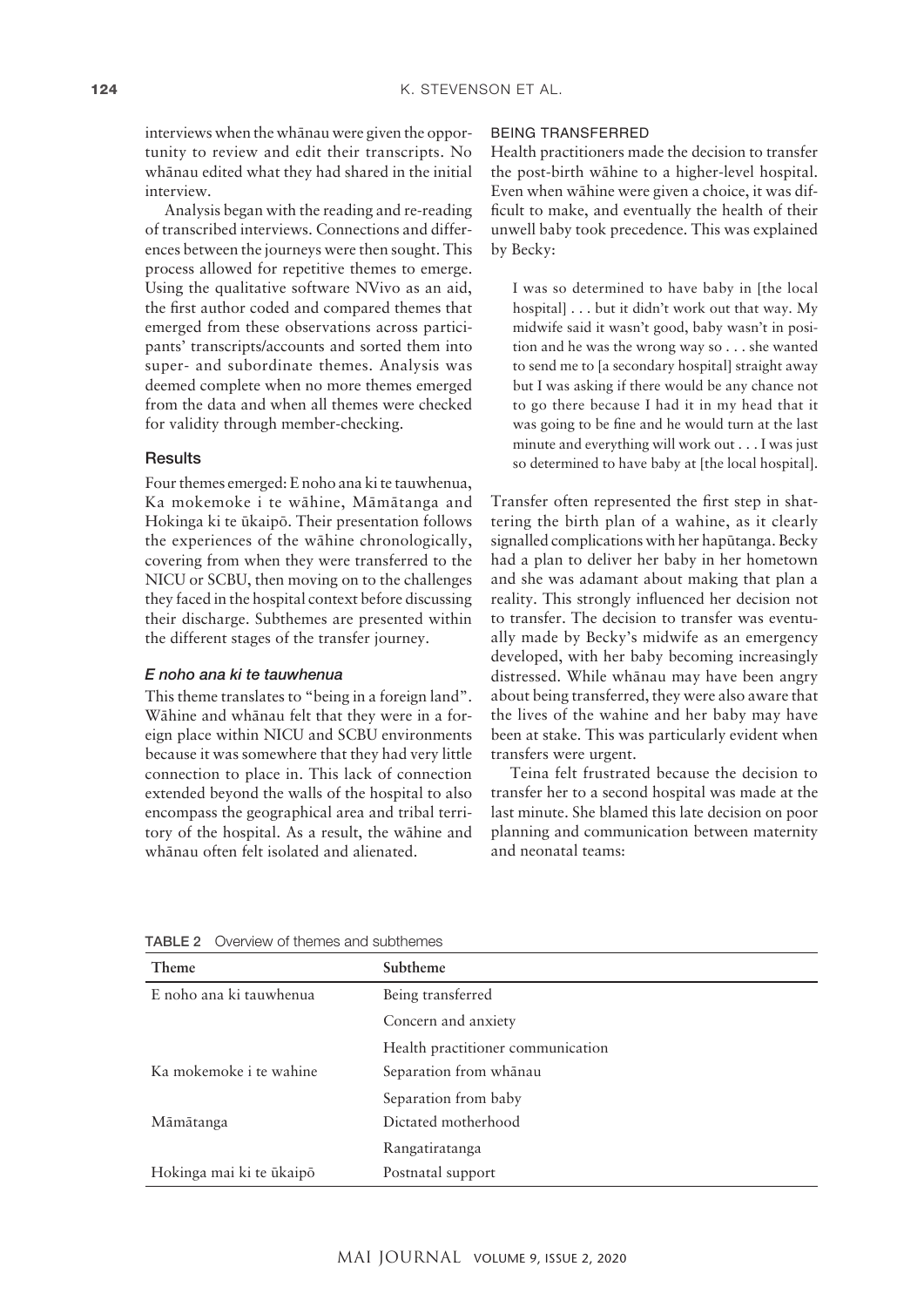interviews when the whänau were given the opportunity to review and edit their transcripts. No whänau edited what they had shared in the initial interview.

Analysis began with the reading and re-reading of transcribed interviews. Connections and differences between the journeys were then sought. This process allowed for repetitive themes to emerge. Using the qualitative software NVivo as an aid, the first author coded and compared themes that emerged from these observations across participants' transcripts/accounts and sorted them into super- and subordinate themes. Analysis was deemed complete when no more themes emerged from the data and when all themes were checked for validity through member-checking.

# **Results**

Four themes emerged: E noho ana ki te tauwhenua, Ka mokemoke i te wähine, Mämätanga and Hokinga ki te ükaipö. Their presentation follows the experiences of the wähine chronologically, covering from when they were transferred to the NICU or SCBU, then moving on to the challenges they faced in the hospital context before discussing their discharge. Subthemes are presented within the different stages of the transfer journey.

### *E noho ana ki te tauwhenua*

This theme translates to "being in a foreign land". Wähine and whänau felt that they were in a foreign place within NICU and SCBU environments because it was somewhere that they had very little connection to place in. This lack of connection extended beyond the walls of the hospital to also encompass the geographical area and tribal territory of the hospital. As a result, the wähine and whänau often felt isolated and alienated.

### BEING TRANSFERRED

Health practitioners made the decision to transfer the post-birth wähine to a higher-level hospital. Even when wähine were given a choice, it was difficult to make, and eventually the health of their unwell baby took precedence. This was explained by Becky:

I was so determined to have baby in [the local hospital] . . . but it didn't work out that way. My midwife said it wasn't good, baby wasn't in position and he was the wrong way so . . . she wanted to send me to [a secondary hospital] straight away but I was asking if there would be any chance not to go there because I had it in my head that it was going to be fine and he would turn at the last minute and everything will work out . . . I was just so determined to have baby at [the local hospital].

Transfer often represented the first step in shattering the birth plan of a wahine, as it clearly signalled complications with her hapütanga. Becky had a plan to deliver her baby in her hometown and she was adamant about making that plan a reality. This strongly influenced her decision not to transfer. The decision to transfer was eventually made by Becky's midwife as an emergency developed, with her baby becoming increasingly distressed. While whänau may have been angry about being transferred, they were also aware that the lives of the wahine and her baby may have been at stake. This was particularly evident when transfers were urgent.

Teina felt frustrated because the decision to transfer her to a second hospital was made at the last minute. She blamed this late decision on poor planning and communication between maternity and neonatal teams:

| <b>Theme</b>             | Subtheme                          |
|--------------------------|-----------------------------------|
| E noho ana ki tauwhenua  | Being transferred                 |
|                          | Concern and anxiety               |
|                          | Health practitioner communication |
| Ka mokemoke i te wahine  | Separation from whanau            |
|                          | Separation from baby              |
| Māmātanga                | Dictated motherhood               |
|                          | Rangatiratanga                    |
| Hokinga mai ki te ūkaipō | Postnatal support                 |

TABLE 2 Overview of themes and subthemes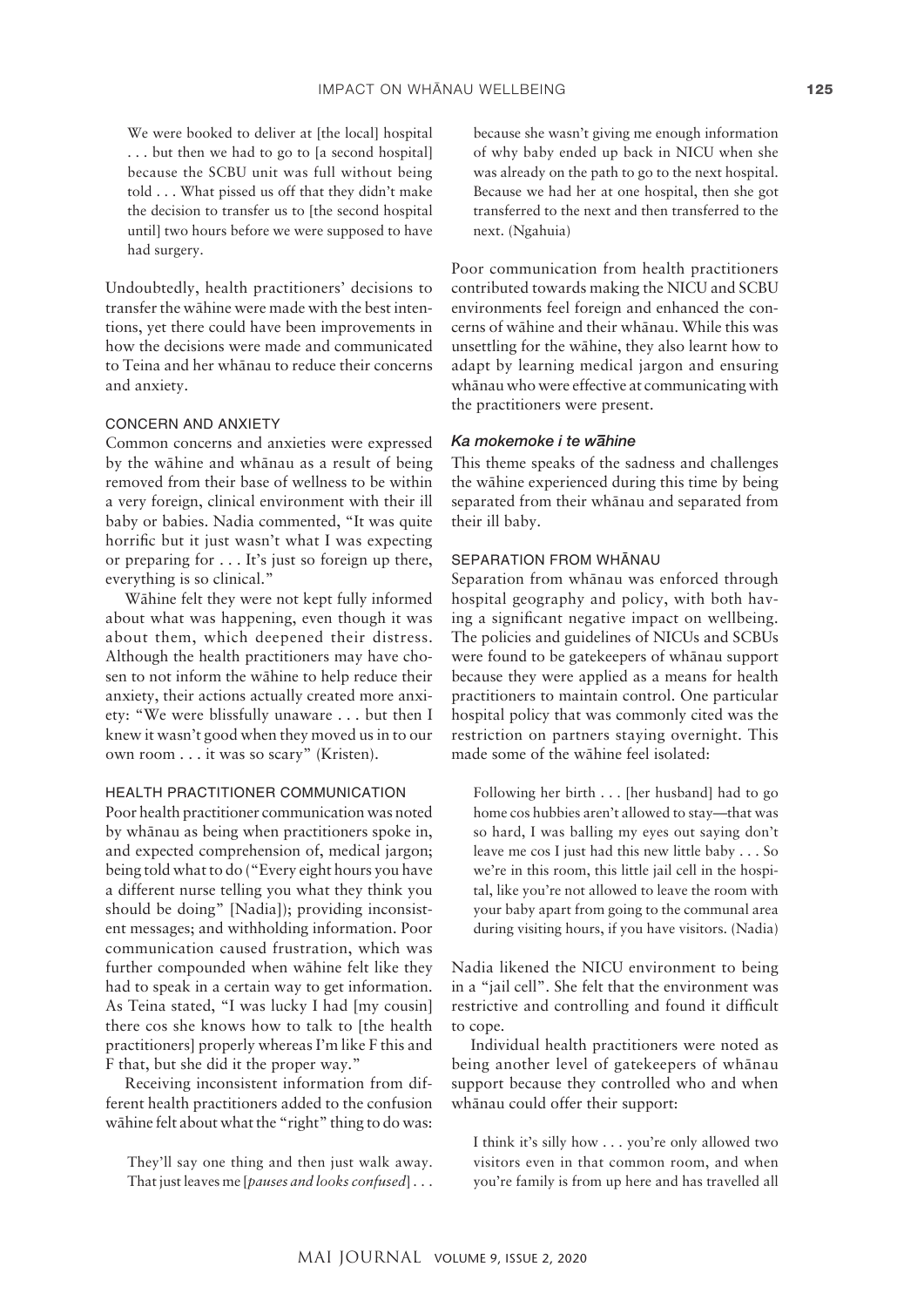We were booked to deliver at [the local] hospital . . . but then we had to go to [a second hospital] because the SCBU unit was full without being told . . . What pissed us off that they didn't make the decision to transfer us to [the second hospital until] two hours before we were supposed to have had surgery.

Undoubtedly, health practitioners' decisions to transfer the wähine were made with the best intentions, yet there could have been improvements in how the decisions were made and communicated to Teina and her whänau to reduce their concerns and anxiety.

# CONCERN AND ANXIETY

Common concerns and anxieties were expressed by the wähine and whänau as a result of being removed from their base of wellness to be within a very foreign, clinical environment with their ill baby or babies. Nadia commented, "It was quite horrific but it just wasn't what I was expecting or preparing for . . . It's just so foreign up there, everything is so clinical."

Wähine felt they were not kept fully informed about what was happening, even though it was about them, which deepened their distress. Although the health practitioners may have chosen to not inform the wähine to help reduce their anxiety, their actions actually created more anxiety: "We were blissfully unaware . . . but then I knew it wasn't good when they moved us in to our own room . . . it was so scary" (Kristen).

### HEALTH PRACTITIONER COMMUNICATION

Poor health practitioner communication was noted by whänau as being when practitioners spoke in, and expected comprehension of, medical jargon; being told what to do ("Every eight hours you have a different nurse telling you what they think you should be doing" [Nadia]); providing inconsistent messages; and withholding information. Poor communication caused frustration, which was further compounded when wähine felt like they had to speak in a certain way to get information. As Teina stated, "I was lucky I had [my cousin] there cos she knows how to talk to [the health practitioners] properly whereas I'm like F this and F that, but she did it the proper way."

Receiving inconsistent information from different health practitioners added to the confusion wähine felt about what the "right" thing to do was:

They'll say one thing and then just walk away. That just leaves me [*pauses and looks confused*] . . .

because she wasn't giving me enough information of why baby ended up back in NICU when she was already on the path to go to the next hospital. Because we had her at one hospital, then she got transferred to the next and then transferred to the next. (Ngahuia)

Poor communication from health practitioners contributed towards making the NICU and SCBU environments feel foreign and enhanced the concerns of wähine and their whänau. While this was unsettling for the wähine, they also learnt how to adapt by learning medical jargon and ensuring whänau who were effective at communicating with the practitioners were present.

# *Ka mokemoke i te w– ahine*

This theme speaks of the sadness and challenges the wähine experienced during this time by being separated from their whänau and separated from their ill baby.

### SEPARATION FROM WHÄNAU

Separation from whänau was enforced through hospital geography and policy, with both having a significant negative impact on wellbeing. The policies and guidelines of NICUs and SCBUs were found to be gatekeepers of whänau support because they were applied as a means for health practitioners to maintain control. One particular hospital policy that was commonly cited was the restriction on partners staying overnight. This made some of the wähine feel isolated:

Following her birth . . . [her husband] had to go home cos hubbies aren't allowed to stay—that was so hard, I was balling my eyes out saying don't leave me cos I just had this new little baby . . . So we're in this room, this little jail cell in the hospital, like you're not allowed to leave the room with your baby apart from going to the communal area during visiting hours, if you have visitors. (Nadia)

Nadia likened the NICU environment to being in a "jail cell". She felt that the environment was restrictive and controlling and found it difficult to cope.

Individual health practitioners were noted as being another level of gatekeepers of whänau support because they controlled who and when whänau could offer their support:

I think it's silly how . . . you're only allowed two visitors even in that common room, and when you're family is from up here and has travelled all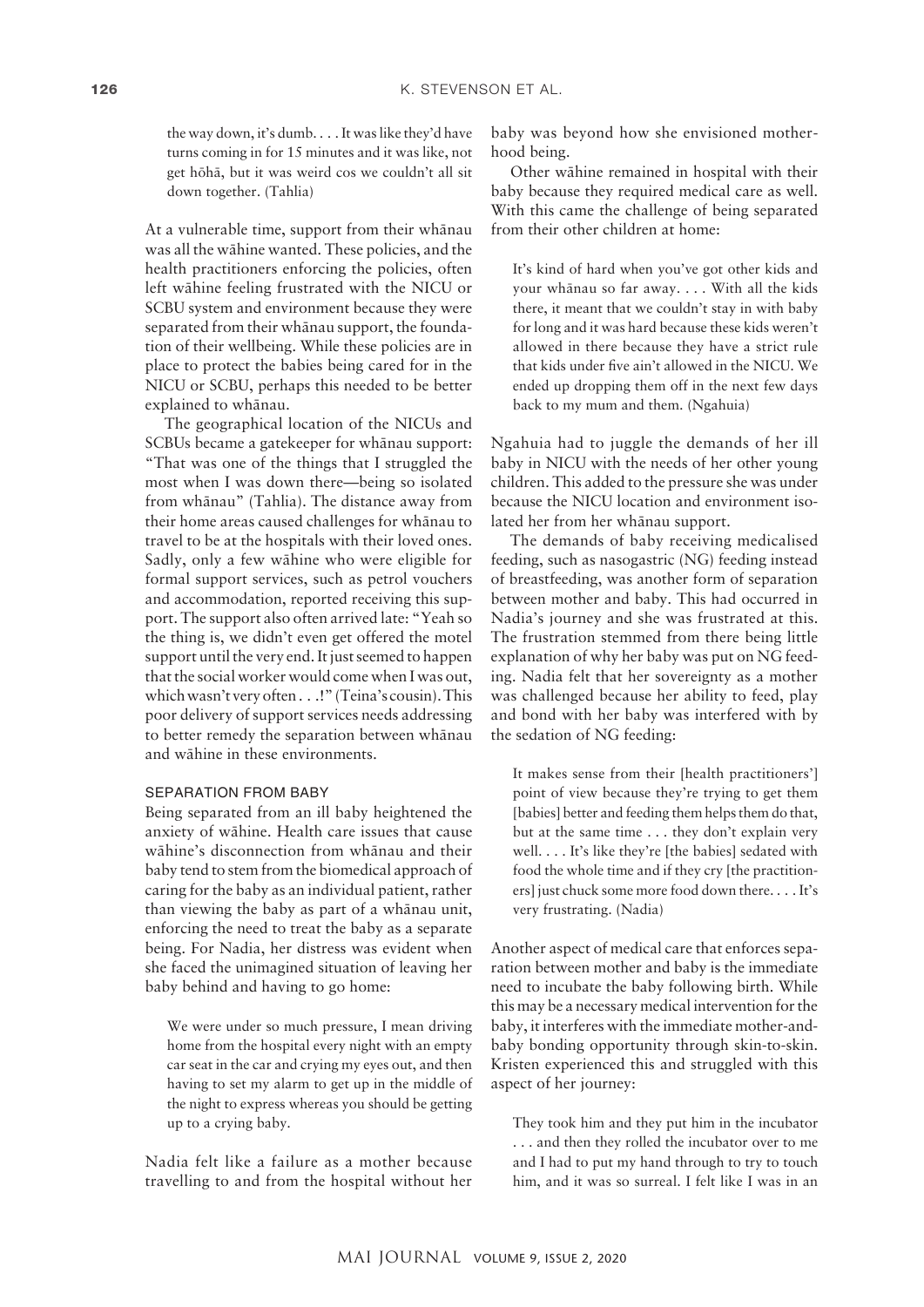the way down, it's dumb. . . . It was like they'd have turns coming in for 15 minutes and it was like, not get höhä, but it was weird cos we couldn't all sit down together. (Tahlia)

At a vulnerable time, support from their whänau was all the wähine wanted. These policies, and the health practitioners enforcing the policies, often left wähine feeling frustrated with the NICU or SCBU system and environment because they were separated from their whänau support, the foundation of their wellbeing. While these policies are in place to protect the babies being cared for in the NICU or SCBU, perhaps this needed to be better explained to whänau.

The geographical location of the NICUs and SCBUs became a gatekeeper for whänau support: "That was one of the things that I struggled the most when I was down there—being so isolated from whänau" (Tahlia). The distance away from their home areas caused challenges for whänau to travel to be at the hospitals with their loved ones. Sadly, only a few wähine who were eligible for formal support services, such as petrol vouchers and accommodation, reported receiving this support. The support also often arrived late: "Yeah so the thing is, we didn't even get offered the motel support until the very end. It just seemed to happen that the social worker would come when I was out, which wasn't very often . . .!" (Teina's cousin). This poor delivery of support services needs addressing to better remedy the separation between whänau and wähine in these environments.

### SEPARATION FROM BABY

Being separated from an ill baby heightened the anxiety of wähine. Health care issues that cause wähine's disconnection from whänau and their baby tend to stem from the biomedical approach of caring for the baby as an individual patient, rather than viewing the baby as part of a whänau unit, enforcing the need to treat the baby as a separate being. For Nadia, her distress was evident when she faced the unimagined situation of leaving her baby behind and having to go home:

We were under so much pressure, I mean driving home from the hospital every night with an empty car seat in the car and crying my eyes out, and then having to set my alarm to get up in the middle of the night to express whereas you should be getting up to a crying baby.

Nadia felt like a failure as a mother because travelling to and from the hospital without her baby was beyond how she envisioned motherhood being.

Other wähine remained in hospital with their baby because they required medical care as well. With this came the challenge of being separated from their other children at home:

It's kind of hard when you've got other kids and your whänau so far away. . . . With all the kids there, it meant that we couldn't stay in with baby for long and it was hard because these kids weren't allowed in there because they have a strict rule that kids under five ain't allowed in the NICU. We ended up dropping them off in the next few days back to my mum and them. (Ngahuia)

Ngahuia had to juggle the demands of her ill baby in NICU with the needs of her other young children. This added to the pressure she was under because the NICU location and environment isolated her from her whänau support.

The demands of baby receiving medicalised feeding, such as nasogastric (NG) feeding instead of breastfeeding, was another form of separation between mother and baby. This had occurred in Nadia's journey and she was frustrated at this. The frustration stemmed from there being little explanation of why her baby was put on NG feeding. Nadia felt that her sovereignty as a mother was challenged because her ability to feed, play and bond with her baby was interfered with by the sedation of NG feeding:

It makes sense from their [health practitioners'] point of view because they're trying to get them [babies] better and feeding them helps them do that, but at the same time . . . they don't explain very well. . . . It's like they're [the babies] sedated with food the whole time and if they cry [the practitioners] just chuck some more food down there. . . . It's very frustrating. (Nadia)

Another aspect of medical care that enforces separation between mother and baby is the immediate need to incubate the baby following birth. While this may be a necessary medical intervention for the baby, it interferes with the immediate mother-andbaby bonding opportunity through skin-to-skin. Kristen experienced this and struggled with this aspect of her journey:

They took him and they put him in the incubator . . . and then they rolled the incubator over to me and I had to put my hand through to try to touch him, and it was so surreal. I felt like I was in an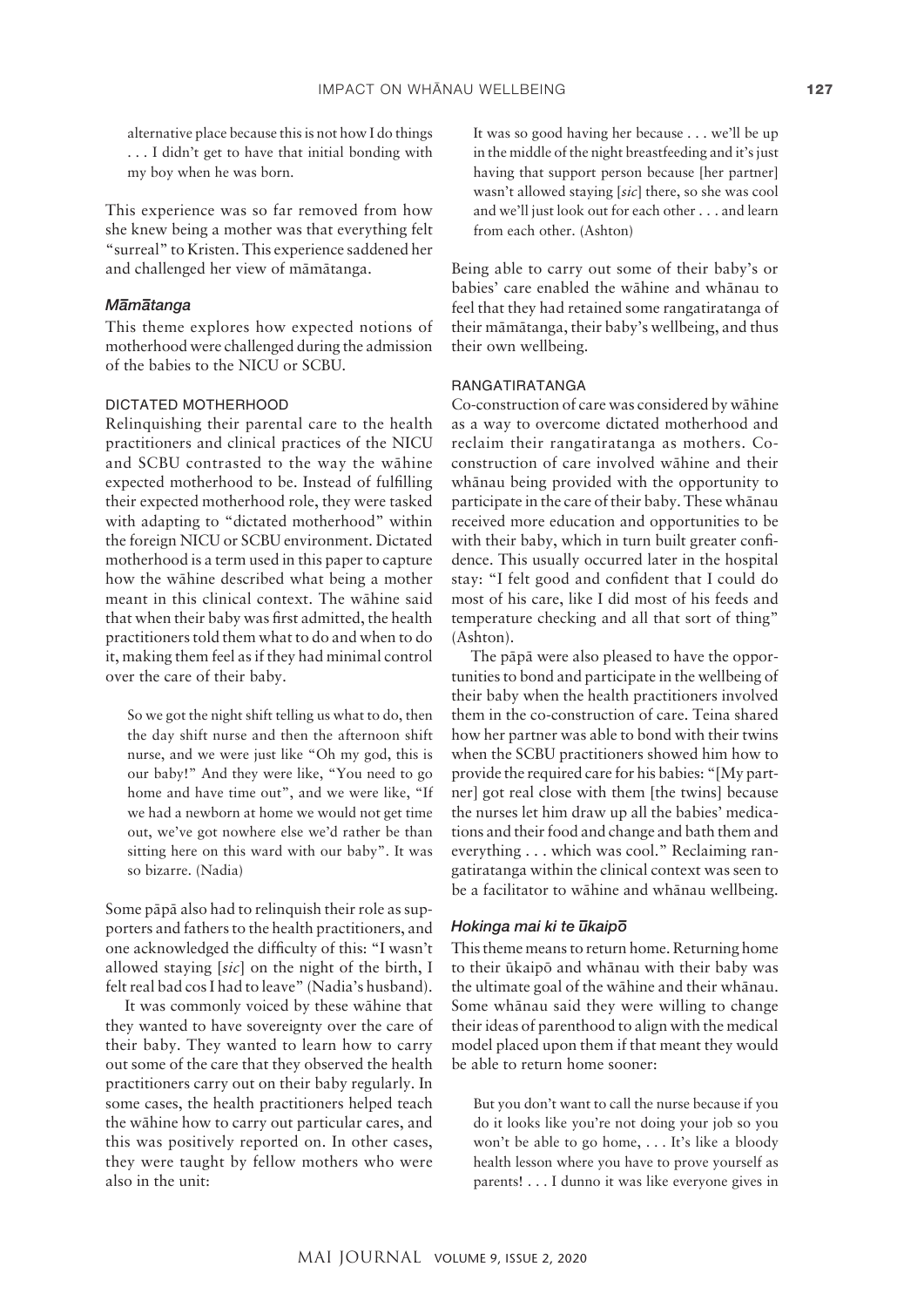alternative place because this is not how I do things . . . I didn't get to have that initial bonding with my boy when he was born.

This experience was so far removed from how she knew being a mother was that everything felt "surreal" to Kristen. This experience saddened her and challenged her view of mämätanga.

# *M– am– atanga*

This theme explores how expected notions of motherhood were challenged during the admission of the babies to the NICU or SCBU.

# DICTATED MOTHERHOOD

Relinquishing their parental care to the health practitioners and clinical practices of the NICU and SCBU contrasted to the way the wähine expected motherhood to be. Instead of fulfilling their expected motherhood role, they were tasked with adapting to "dictated motherhood" within the foreign NICU or SCBU environment. Dictated motherhood is a term used in this paper to capture how the wähine described what being a mother meant in this clinical context. The wähine said that when their baby was first admitted, the health practitioners told them what to do and when to do it, making them feel as if they had minimal control over the care of their baby.

So we got the night shift telling us what to do, then the day shift nurse and then the afternoon shift nurse, and we were just like "Oh my god, this is our baby!" And they were like, "You need to go home and have time out", and we were like, "If we had a newborn at home we would not get time out, we've got nowhere else we'd rather be than sitting here on this ward with our baby". It was so bizarre. (Nadia)

Some päpä also had to relinquish their role as supporters and fathers to the health practitioners, and one acknowledged the difficulty of this: "I wasn't allowed staying [*sic*] on the night of the birth, I felt real bad cos I had to leave" (Nadia's husband).

It was commonly voiced by these wähine that they wanted to have sovereignty over the care of their baby. They wanted to learn how to carry out some of the care that they observed the health practitioners carry out on their baby regularly. In some cases, the health practitioners helped teach the wähine how to carry out particular cares, and this was positively reported on. In other cases, they were taught by fellow mothers who were also in the unit:

It was so good having her because . . . we'll be up in the middle of the night breastfeeding and it's just having that support person because [her partner] wasn't allowed staying [*sic*] there, so she was cool and we'll just look out for each other . . . and learn from each other. (Ashton)

Being able to carry out some of their baby's or babies' care enabled the wähine and whänau to feel that they had retained some rangatiratanga of their mämätanga, their baby's wellbeing, and thus their own wellbeing.

## RANGATIRATANGA

Co-construction of care was considered by wähine as a way to overcome dictated motherhood and reclaim their rangatiratanga as mothers. Coconstruction of care involved wähine and their whänau being provided with the opportunity to participate in the care of their baby. These whänau received more education and opportunities to be with their baby, which in turn built greater confidence. This usually occurred later in the hospital stay: "I felt good and confident that I could do most of his care, like I did most of his feeds and temperature checking and all that sort of thing" (Ashton).

The päpä were also pleased to have the opportunities to bond and participate in the wellbeing of their baby when the health practitioners involved them in the co-construction of care. Teina shared how her partner was able to bond with their twins when the SCBU practitioners showed him how to provide the required care for his babies: "[My partner] got real close with them [the twins] because the nurses let him draw up all the babies' medications and their food and change and bath them and everything . . . which was cool." Reclaiming rangatiratanga within the clinical context was seen to be a facilitator to wähine and whänau wellbeing.

# *Hokinga mai ki te – ukaip– o*

This theme means to return home. Returning home to their ükaipö and whänau with their baby was the ultimate goal of the wähine and their whänau. Some whänau said they were willing to change their ideas of parenthood to align with the medical model placed upon them if that meant they would be able to return home sooner:

But you don't want to call the nurse because if you do it looks like you're not doing your job so you won't be able to go home, . . . It's like a bloody health lesson where you have to prove yourself as parents! . . . I dunno it was like everyone gives in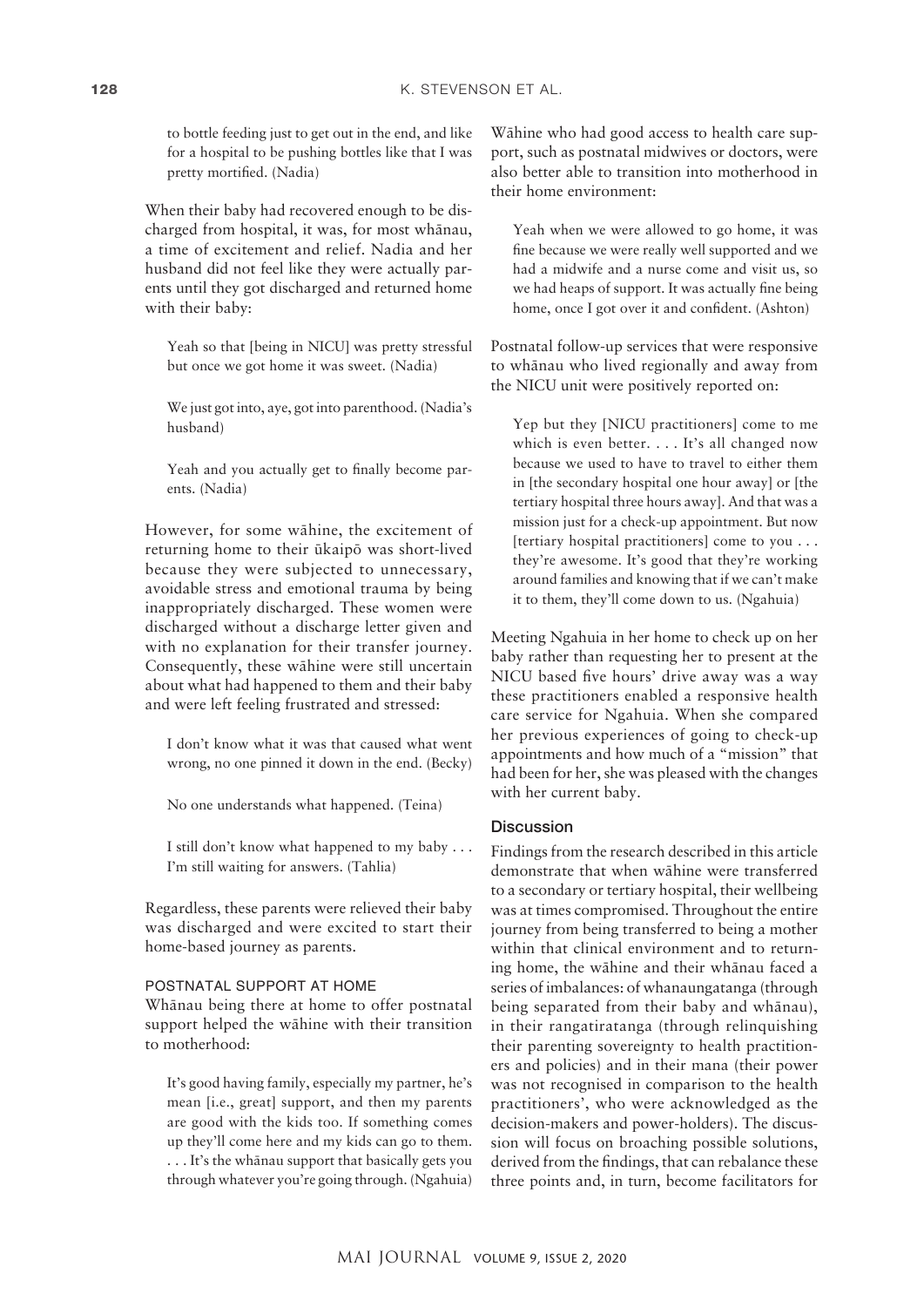to bottle feeding just to get out in the end, and like for a hospital to be pushing bottles like that I was pretty mortified. (Nadia)

When their baby had recovered enough to be discharged from hospital, it was, for most whänau, a time of excitement and relief. Nadia and her husband did not feel like they were actually parents until they got discharged and returned home with their baby:

Yeah so that [being in NICU] was pretty stressful but once we got home it was sweet. (Nadia)

We just got into, aye, got into parenthood. (Nadia's husband)

Yeah and you actually get to finally become parents. (Nadia)

However, for some wähine, the excitement of returning home to their ükaipö was short-lived because they were subjected to unnecessary, avoidable stress and emotional trauma by being inappropriately discharged. These women were discharged without a discharge letter given and with no explanation for their transfer journey. Consequently, these wähine were still uncertain about what had happened to them and their baby and were left feeling frustrated and stressed:

I don't know what it was that caused what went wrong, no one pinned it down in the end. (Becky)

No one understands what happened. (Teina)

I still don't know what happened to my baby . . . I'm still waiting for answers. (Tahlia)

Regardless, these parents were relieved their baby was discharged and were excited to start their home-based journey as parents.

### POSTNATAL SUPPORT AT HOME

Whänau being there at home to offer postnatal support helped the wähine with their transition to motherhood:

It's good having family, especially my partner, he's mean [i.e., great] support, and then my parents are good with the kids too. If something comes up they'll come here and my kids can go to them. . . . It's the whänau support that basically gets you through whatever you're going through. (Ngahuia)

Wähine who had good access to health care support, such as postnatal midwives or doctors, were also better able to transition into motherhood in their home environment:

Yeah when we were allowed to go home, it was fine because we were really well supported and we had a midwife and a nurse come and visit us, so we had heaps of support. It was actually fine being home, once I got over it and confident. (Ashton)

Postnatal follow-up services that were responsive to whänau who lived regionally and away from the NICU unit were positively reported on:

Yep but they [NICU practitioners] come to me which is even better. . . . It's all changed now because we used to have to travel to either them in [the secondary hospital one hour away] or [the tertiary hospital three hours away]. And that was a mission just for a check-up appointment. But now [tertiary hospital practitioners] come to you . . . they're awesome. It's good that they're working around families and knowing that if we can't make it to them, they'll come down to us. (Ngahuia)

Meeting Ngahuia in her home to check up on her baby rather than requesting her to present at the NICU based five hours' drive away was a way these practitioners enabled a responsive health care service for Ngahuia. When she compared her previous experiences of going to check-up appointments and how much of a "mission" that had been for her, she was pleased with the changes with her current baby.

### **Discussion**

Findings from the research described in this article demonstrate that when wähine were transferred to a secondary or tertiary hospital, their wellbeing was at times compromised. Throughout the entire journey from being transferred to being a mother within that clinical environment and to returning home, the wähine and their whänau faced a series of imbalances: of whanaungatanga (through being separated from their baby and whänau), in their rangatiratanga (through relinquishing their parenting sovereignty to health practitioners and policies) and in their mana (their power was not recognised in comparison to the health practitioners', who were acknowledged as the decision-makers and power-holders). The discussion will focus on broaching possible solutions, derived from the findings, that can rebalance these three points and, in turn, become facilitators for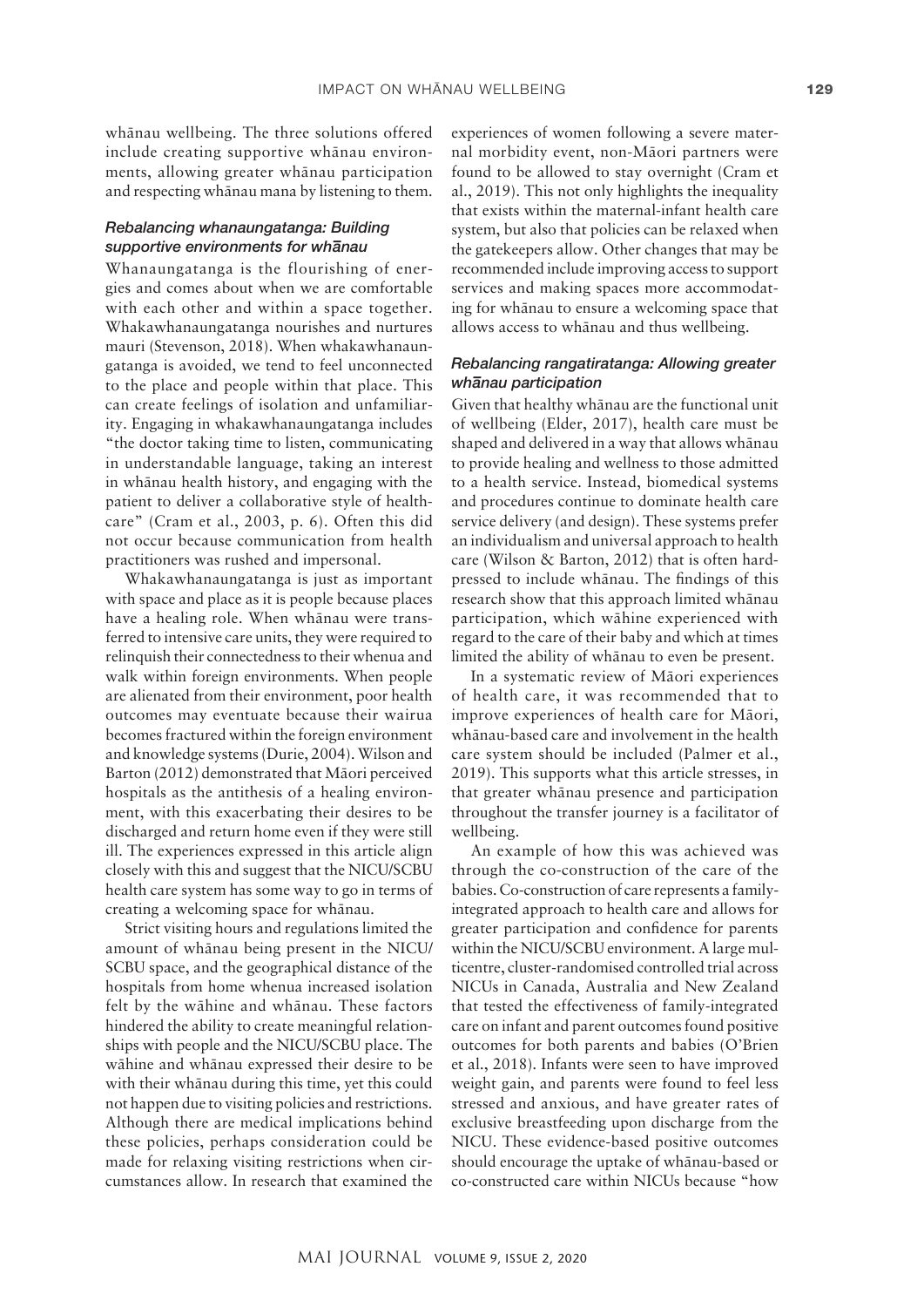whänau wellbeing. The three solutions offered include creating supportive whänau environments, allowing greater whänau participation and respecting whänau mana by listening to them.

# *Rebalancing whanaungatanga: Building supportive environments for wh– anau*

Whanaungatanga is the flourishing of energies and comes about when we are comfortable with each other and within a space together. Whakawhanaungatanga nourishes and nurtures mauri (Stevenson, 2018). When whakawhanaungatanga is avoided, we tend to feel unconnected to the place and people within that place. This can create feelings of isolation and unfamiliarity. Engaging in whakawhanaungatanga includes "the doctor taking time to listen, communicating in understandable language, taking an interest in whänau health history, and engaging with the patient to deliver a collaborative style of healthcare" (Cram et al., 2003, p. 6). Often this did not occur because communication from health practitioners was rushed and impersonal.

Whakawhanaungatanga is just as important with space and place as it is people because places have a healing role. When whänau were transferred to intensive care units, they were required to relinquish their connectedness to their whenua and walk within foreign environments. When people are alienated from their environment, poor health outcomes may eventuate because their wairua becomes fractured within the foreign environment and knowledge systems (Durie, 2004). Wilson and Barton (2012) demonstrated that Mäori perceived hospitals as the antithesis of a healing environment, with this exacerbating their desires to be discharged and return home even if they were still ill. The experiences expressed in this article align closely with this and suggest that the NICU/SCBU health care system has some way to go in terms of creating a welcoming space for whänau.

Strict visiting hours and regulations limited the amount of whänau being present in the NICU/ SCBU space, and the geographical distance of the hospitals from home whenua increased isolation felt by the wähine and whänau. These factors hindered the ability to create meaningful relationships with people and the NICU/SCBU place. The wähine and whänau expressed their desire to be with their whänau during this time, yet this could not happen due to visiting policies and restrictions. Although there are medical implications behind these policies, perhaps consideration could be made for relaxing visiting restrictions when circumstances allow. In research that examined the experiences of women following a severe maternal morbidity event, non-Mäori partners were found to be allowed to stay overnight (Cram et al., 2019). This not only highlights the inequality that exists within the maternal-infant health care system, but also that policies can be relaxed when the gatekeepers allow. Other changes that may be recommended include improving access to support services and making spaces more accommodating for whänau to ensure a welcoming space that allows access to whänau and thus wellbeing.

# *Rebalancing rangatiratanga: Allowing greater wh– anau participation*

Given that healthy whänau are the functional unit of wellbeing (Elder, 2017), health care must be shaped and delivered in a way that allows whänau to provide healing and wellness to those admitted to a health service. Instead, biomedical systems and procedures continue to dominate health care service delivery (and design). These systems prefer an individualism and universal approach to health care (Wilson & Barton, 2012) that is often hardpressed to include whänau. The findings of this research show that this approach limited whänau participation, which wähine experienced with regard to the care of their baby and which at times limited the ability of whänau to even be present.

In a systematic review of Mäori experiences of health care, it was recommended that to improve experiences of health care for Mäori, whänau-based care and involvement in the health care system should be included (Palmer et al., 2019). This supports what this article stresses, in that greater whänau presence and participation throughout the transfer journey is a facilitator of wellbeing.

An example of how this was achieved was through the co-construction of the care of the babies. Co-construction of care represents a familyintegrated approach to health care and allows for greater participation and confidence for parents within the NICU/SCBU environment. A large multicentre, cluster-randomised controlled trial across NICUs in Canada, Australia and New Zealand that tested the effectiveness of family-integrated care on infant and parent outcomes found positive outcomes for both parents and babies (O'Brien et al., 2018). Infants were seen to have improved weight gain, and parents were found to feel less stressed and anxious, and have greater rates of exclusive breastfeeding upon discharge from the NICU. These evidence-based positive outcomes should encourage the uptake of whänau-based or co-constructed care within NICUs because "how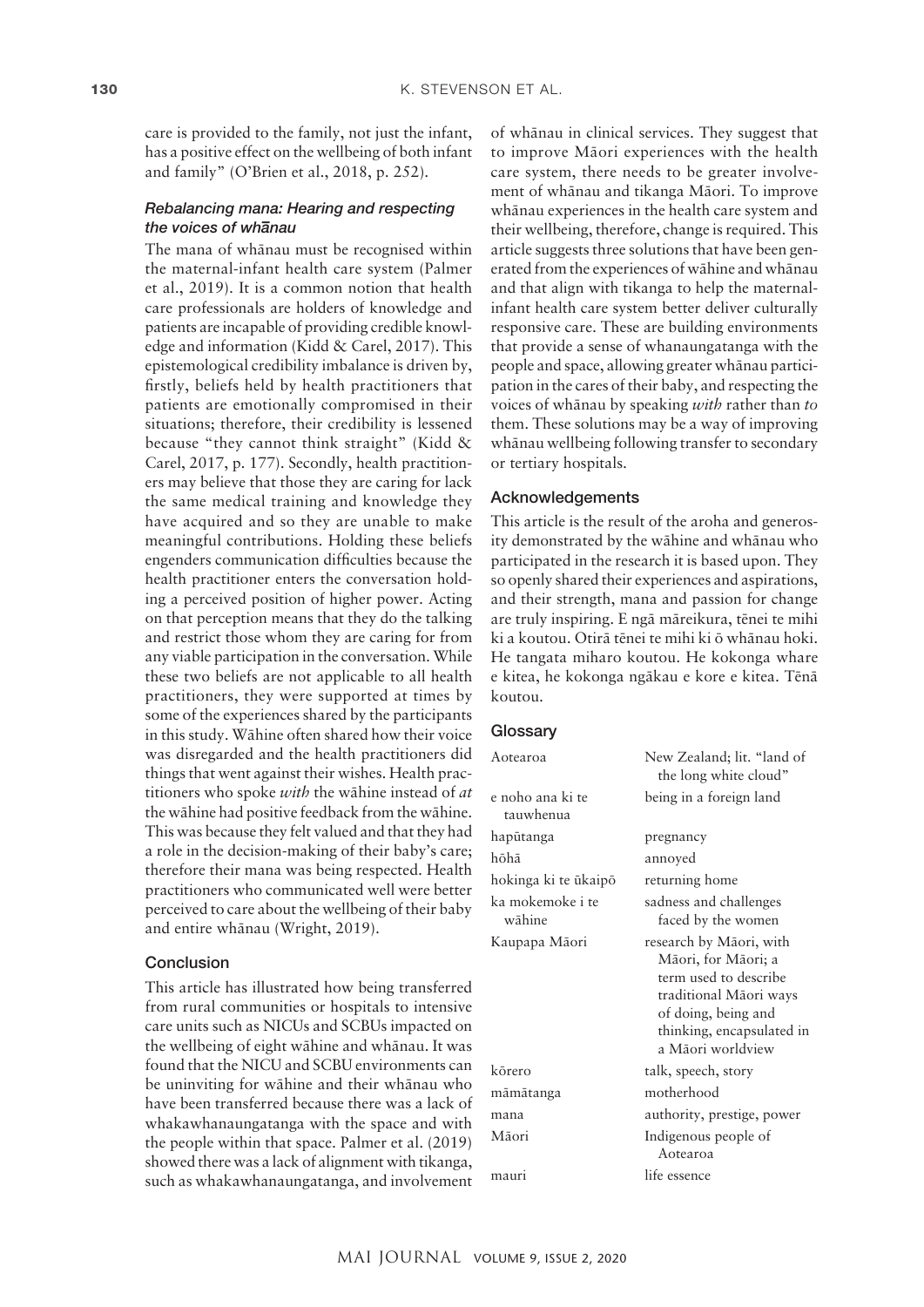care is provided to the family, not just the infant, has a positive effect on the wellbeing of both infant and family" (O'Brien et al., 2018, p. 252).

# *Rebalancing mana: Hearing and respecting the voices of wh– anau*

The mana of whänau must be recognised within the maternal-infant health care system (Palmer et al., 2019). It is a common notion that health care professionals are holders of knowledge and patients are incapable of providing credible knowledge and information (Kidd & Carel, 2017). This epistemological credibility imbalance is driven by, firstly, beliefs held by health practitioners that patients are emotionally compromised in their situations; therefore, their credibility is lessened because "they cannot think straight" (Kidd & Carel, 2017, p. 177). Secondly, health practitioners may believe that those they are caring for lack the same medical training and knowledge they have acquired and so they are unable to make meaningful contributions. Holding these beliefs engenders communication difficulties because the health practitioner enters the conversation holding a perceived position of higher power. Acting on that perception means that they do the talking and restrict those whom they are caring for from any viable participation in the conversation. While these two beliefs are not applicable to all health practitioners, they were supported at times by some of the experiences shared by the participants in this study. Wähine often shared how their voice was disregarded and the health practitioners did things that went against their wishes. Health practitioners who spoke *with* the wähine instead of *at* the wähine had positive feedback from the wähine. This was because they felt valued and that they had a role in the decision-making of their baby's care; therefore their mana was being respected. Health practitioners who communicated well were better perceived to care about the wellbeing of their baby and entire whänau (Wright, 2019).

### Conclusion

This article has illustrated how being transferred from rural communities or hospitals to intensive care units such as NICUs and SCBUs impacted on the wellbeing of eight wähine and whänau. It was found that the NICU and SCBU environments can be uninviting for wähine and their whänau who have been transferred because there was a lack of whakawhanaungatanga with the space and with the people within that space. Palmer et al. (2019) showed there was a lack of alignment with tikanga, such as whakawhanaungatanga, and involvement of whänau in clinical services. They suggest that to improve Mäori experiences with the health care system, there needs to be greater involvement of whänau and tikanga Mäori. To improve whänau experiences in the health care system and their wellbeing, therefore, change is required. This article suggests three solutions that have been generated from the experiences of wähine and whänau and that align with tikanga to help the maternalinfant health care system better deliver culturally responsive care. These are building environments that provide a sense of whanaungatanga with the people and space, allowing greater whänau participation in the cares of their baby, and respecting the voices of whänau by speaking *with* rather than *to* them. These solutions may be a way of improving whänau wellbeing following transfer to secondary or tertiary hospitals.

## Acknowledgements

This article is the result of the aroha and generosity demonstrated by the wähine and whänau who participated in the research it is based upon. They so openly shared their experiences and aspirations, and their strength, mana and passion for change are truly inspiring. E ngä märeikura, tënei te mihi ki a koutou. Otirä tënei te mihi ki ö whänau hoki. He tangata miharo koutou. He kokonga whare e kitea, he kokonga ngäkau e kore e kitea. Tënä koutou.

### **Glossary**

| Aotearoa                      | New Zealand; lit. "land of<br>the long white cloud"                                                                                                                        |
|-------------------------------|----------------------------------------------------------------------------------------------------------------------------------------------------------------------------|
| e noho ana ki te<br>tauwhenua | being in a foreign land                                                                                                                                                    |
| hapūtanga                     | pregnancy                                                                                                                                                                  |
| hōhā                          | annoyed                                                                                                                                                                    |
| hokinga ki te ūkaipō          | returning home                                                                                                                                                             |
| ka mokemoke i te<br>wāhine    | sadness and challenges<br>faced by the women                                                                                                                               |
| Kaupapa Māori                 | research by Māori, with<br>Māori, for Māori; a<br>term used to describe<br>traditional Māori ways<br>of doing, being and<br>thinking, encapsulated in<br>a Māori worldview |
| kōrero                        | talk, speech, story                                                                                                                                                        |
| māmātanga                     | motherhood                                                                                                                                                                 |
| mana                          | authority, prestige, power                                                                                                                                                 |
| Māori                         | Indigenous people of<br>Aotearoa                                                                                                                                           |
| mauri                         | life essence                                                                                                                                                               |
|                               |                                                                                                                                                                            |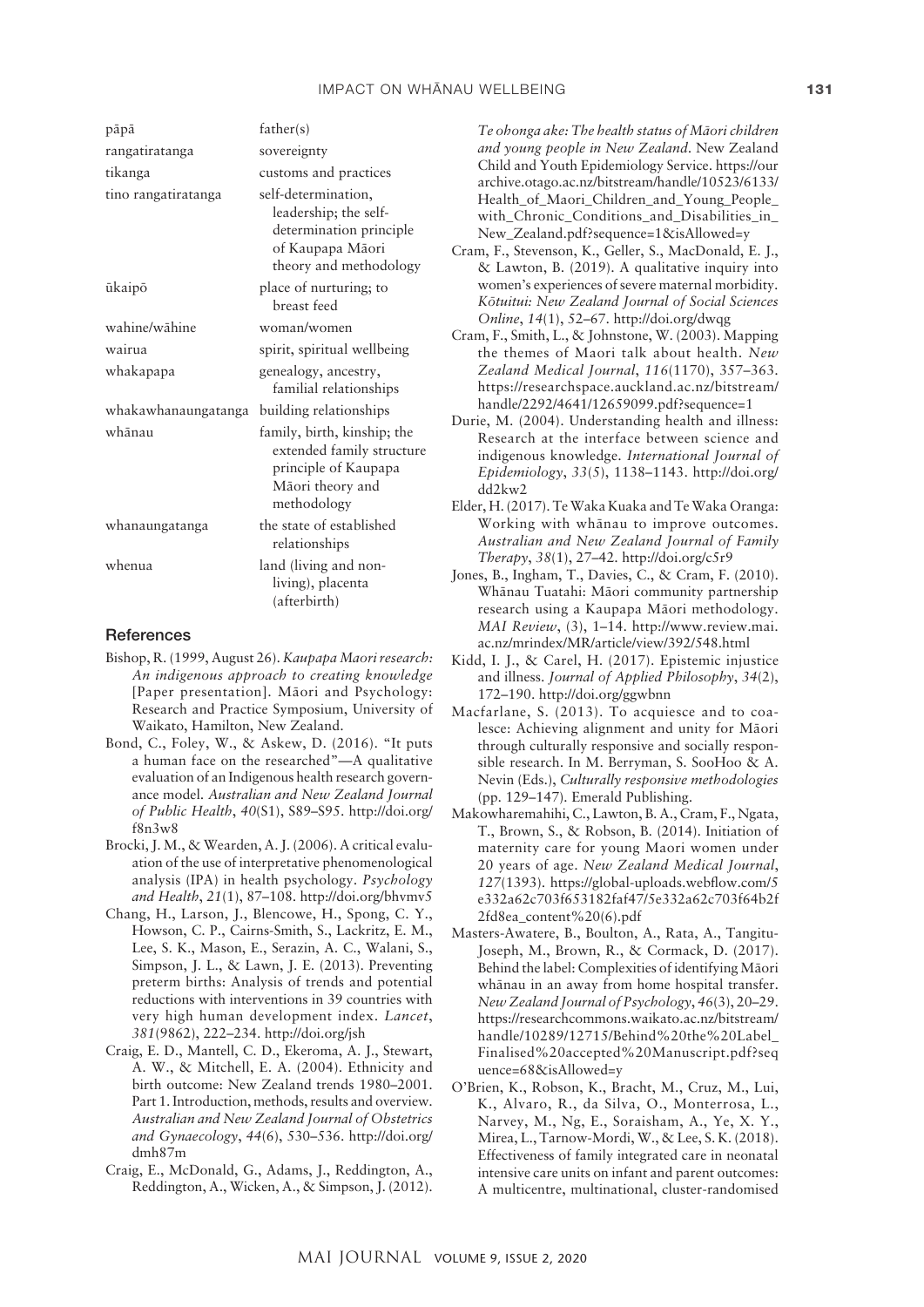#### IMPACT ON WHANAU WELLBEING 131

| pāpā                | father(s)                                                                                                             |
|---------------------|-----------------------------------------------------------------------------------------------------------------------|
| rangatiratanga      | sovereignty                                                                                                           |
| tikanga             | customs and practices                                                                                                 |
| tino rangatiratanga | self-determination,<br>leadership; the self-<br>determination principle<br>of Kaupapa Māori<br>theory and methodology |
| ūkaipō              | place of nurturing; to<br>breast feed                                                                                 |
| wahine/wāhine       | woman/women                                                                                                           |
| wairua              | spirit, spiritual wellbeing                                                                                           |
| whakapapa           | genealogy, ancestry,<br>familial relationships                                                                        |
| whakawhanaungatanga | building relationships                                                                                                |
| whānau              | family, birth, kinship; the<br>extended family structure<br>principle of Kaupapa<br>Māori theory and<br>methodology   |
| whanaungatanga      | the state of established<br>relationships                                                                             |
| whenua              | land (living and non-<br>living), placenta<br>(afterbirth)                                                            |

### **References**

- Bishop, R. (1999, August 26). *Kaupapa Maori research: An indigenous approach to creating knowledge* [Paper presentation]. Mäori and Psychology: Research and Practice Symposium, University of Waikato, Hamilton, New Zealand.
- Bond, C., Foley, W., & Askew, D. (2016). "It puts a human face on the researched"—A qualitative evaluation of an Indigenous health research governance model. *Australian and New Zealand Journal of Public Health*, *40*(S1), S89–S95. [http://doi.org/](http://doi.org/f8n3w8)  $f8n3w8$
- Brocki, J. M., & Wearden, A. J. (2006). A critical evaluation of the use of interpretative phenomenological analysis (IPA) in health psychology. *Psychology and Health*, *21*(1), 87–108.<http://doi.org/bhvmv5>
- Chang, H., Larson, J., Blencowe, H., Spong, C. Y., Howson, C. P., Cairns-Smith, S., Lackritz, E. M., Lee, S. K., Mason, E., Serazin, A. C., Walani, S., Simpson, J. L., & Lawn, J. E. (2013). Preventing preterm births: Analysis of trends and potential reductions with interventions in 39 countries with very high human development index. *Lancet*, *381*(9862), 222–234. <http://doi.org/jsh>
- Craig, E. D., Mantell, C. D., Ekeroma, A. J., Stewart, A. W., & Mitchell, E. A. (2004). Ethnicity and birth outcome: New Zealand trends 1980–2001. Part 1. Introduction, methods, results and overview. *Australian and New Zealand Journal of Obstetrics and Gynaecology*, *44*(6), 530–536. [http://doi.org/](http://doi.org/dmh87m) [dmh87m](http://doi.org/dmh87m)
- Craig, E., McDonald, G., Adams, J., Reddington, A., Reddington, A., Wicken, A., & Simpson, J. (2012).

*Te ohonga ake: The health status of Mäori children and young people in New Zealand*. New Zealand Child and Youth Epidemiology Service. [https://our](https://ourarchive.otago.ac.nz/bitstream/handle/10523/6133/Health_of_Maori_Children_and_Young_People_with_Chronic_Conditions_and_Disabilities_in_New_Zealand.pdf?sequence=1&isAllowed=y) [archive.otago.ac.nz/bitstream/handle/10523/6133/](https://ourarchive.otago.ac.nz/bitstream/handle/10523/6133/Health_of_Maori_Children_and_Young_People_with_Chronic_Conditions_and_Disabilities_in_New_Zealand.pdf?sequence=1&isAllowed=y) [Health\\_of\\_Maori\\_Children\\_and\\_Young\\_People\\_](https://ourarchive.otago.ac.nz/bitstream/handle/10523/6133/Health_of_Maori_Children_and_Young_People_with_Chronic_Conditions_and_Disabilities_in_New_Zealand.pdf?sequence=1&isAllowed=y) [with\\_Chronic\\_Conditions\\_and\\_Disabilities\\_in\\_](https://ourarchive.otago.ac.nz/bitstream/handle/10523/6133/Health_of_Maori_Children_and_Young_People_with_Chronic_Conditions_and_Disabilities_in_New_Zealand.pdf?sequence=1&isAllowed=y) [New\\_Zealand.pdf?sequence=1&isAllowed=y](https://ourarchive.otago.ac.nz/bitstream/handle/10523/6133/Health_of_Maori_Children_and_Young_People_with_Chronic_Conditions_and_Disabilities_in_New_Zealand.pdf?sequence=1&isAllowed=y)

- Cram, F., Stevenson, K., Geller, S., MacDonald, E. J., & Lawton, B. (2019). A qualitative inquiry into women's experiences of severe maternal morbidity. *Kötuitui: New Zealand Journal of Social Sciences Online*, *14*(1), 52–67.<http://doi.org/dwqg>
- Cram, F., Smith, L., & Johnstone, W. (2003). Mapping the themes of Maori talk about health. *New Zealand Medical Journal*, *116*(1170), 357–363. [https://researchspace.auckland.ac.nz/bitstream/](https://researchspace.auckland.ac.nz/bitstream/handle/2292/4641/12659099.pdf?sequence=1) [handle/2292/4641/12659099.pdf?sequence=1](https://researchspace.auckland.ac.nz/bitstream/handle/2292/4641/12659099.pdf?sequence=1)
- Durie, M. (2004). Understanding health and illness: Research at the interface between science and indigenous knowledge. *International Journal of Epidemiology*, *33*(5), 1138–1143. [http://doi.org/](http://doi.org/dd2kw2) [dd2kw2](http://doi.org/dd2kw2)
- Elder, H. (2017). Te Waka Kuaka and Te Waka Oranga: Working with whänau to improve outcomes. *Australian and New Zealand Journal of Family Therapy*, *38*(1), 27–42. <http://doi.org/c5r9>
- Jones, B., Ingham, T., Davies, C., & Cram, F. (2010). Whänau Tuatahi: Mäori community partnership research using a Kaupapa Mäori methodology. *MAI Review*, (3), 1–14. [http://www.review.mai.](http://www.review.mai.ac.nz/mrindex/MR/article/view/392/548.html) [ac.nz/mrindex/MR/article/view/392/548.html](http://www.review.mai.ac.nz/mrindex/MR/article/view/392/548.html)
- Kidd, I. J., & Carel, H. (2017). Epistemic injustice and illness. *Journal of Applied Philosophy*, *34*(2), 172–190.<http://doi.org/ggwbnn>
- Macfarlane, S. (2013). To acquiesce and to coalesce: Achieving alignment and unity for Mäori through culturally responsive and socially responsible research. In M. Berryman, S. SooHoo & A. Nevin (Eds.), *Culturally responsive methodologies* (pp. 129–147)*.* Emerald Publishing.
- Makowharemahihi, C., Lawton, B. A., Cram, F., Ngata, T., Brown, S., & Robson, B. (2014). Initiation of maternity care for young Maori women under 20 years of age. *New Zealand Medical Journal*, *127*(1393). [https://global-uploads.webflow.com/5](https://global-uploads.webflow.com/5e332a62c703f653182faf47/5e332a62c703f64b2f2fd8ea_content (6).pdf) [e332a62c703f653182faf47/5e332a62c703f64b2f](https://global-uploads.webflow.com/5e332a62c703f653182faf47/5e332a62c703f64b2f2fd8ea_content (6).pdf) [2fd8ea\\_content%20\(6\).pdf](https://global-uploads.webflow.com/5e332a62c703f653182faf47/5e332a62c703f64b2f2fd8ea_content (6).pdf)
- Masters-Awatere, B., Boulton, A., Rata, A., Tangitu-Joseph, M., Brown, R., & Cormack, D. (2017). Behind the label: Complexities of identifying Mäori whänau in an away from home hospital transfer. *New Zealand Journal of Psychology*, *46*(3), 20–29. [https://researchcommons.waikato.ac.nz/bitstream/](https://researchcommons.waikato.ac.nz/bitstream/handle/10289/12715/Behind the Label_Finalised accepted Manuscript.pdf?sequence=68&isAllowed=y) [handle/10289/12715/Behind%20the%20Label\\_](https://researchcommons.waikato.ac.nz/bitstream/handle/10289/12715/Behind the Label_Finalised accepted Manuscript.pdf?sequence=68&isAllowed=y) [Finalised%20accepted%20Manuscript.pdf?seq](https://researchcommons.waikato.ac.nz/bitstream/handle/10289/12715/Behind the Label_Finalised accepted Manuscript.pdf?sequence=68&isAllowed=y) [uence=68&isAllowed=y](https://researchcommons.waikato.ac.nz/bitstream/handle/10289/12715/Behind the Label_Finalised accepted Manuscript.pdf?sequence=68&isAllowed=y)
- O'Brien, K., Robson, K., Bracht, M., Cruz, M., Lui, K., Alvaro, R., da Silva, O., Monterrosa, L., Narvey, M., Ng, E., Soraisham, A., Ye, X. Y., Mirea, L., Tarnow-Mordi, W., & Lee, S. K. (2018). Effectiveness of family integrated care in neonatal intensive care units on infant and parent outcomes: A multicentre, multinational, cluster-randomised